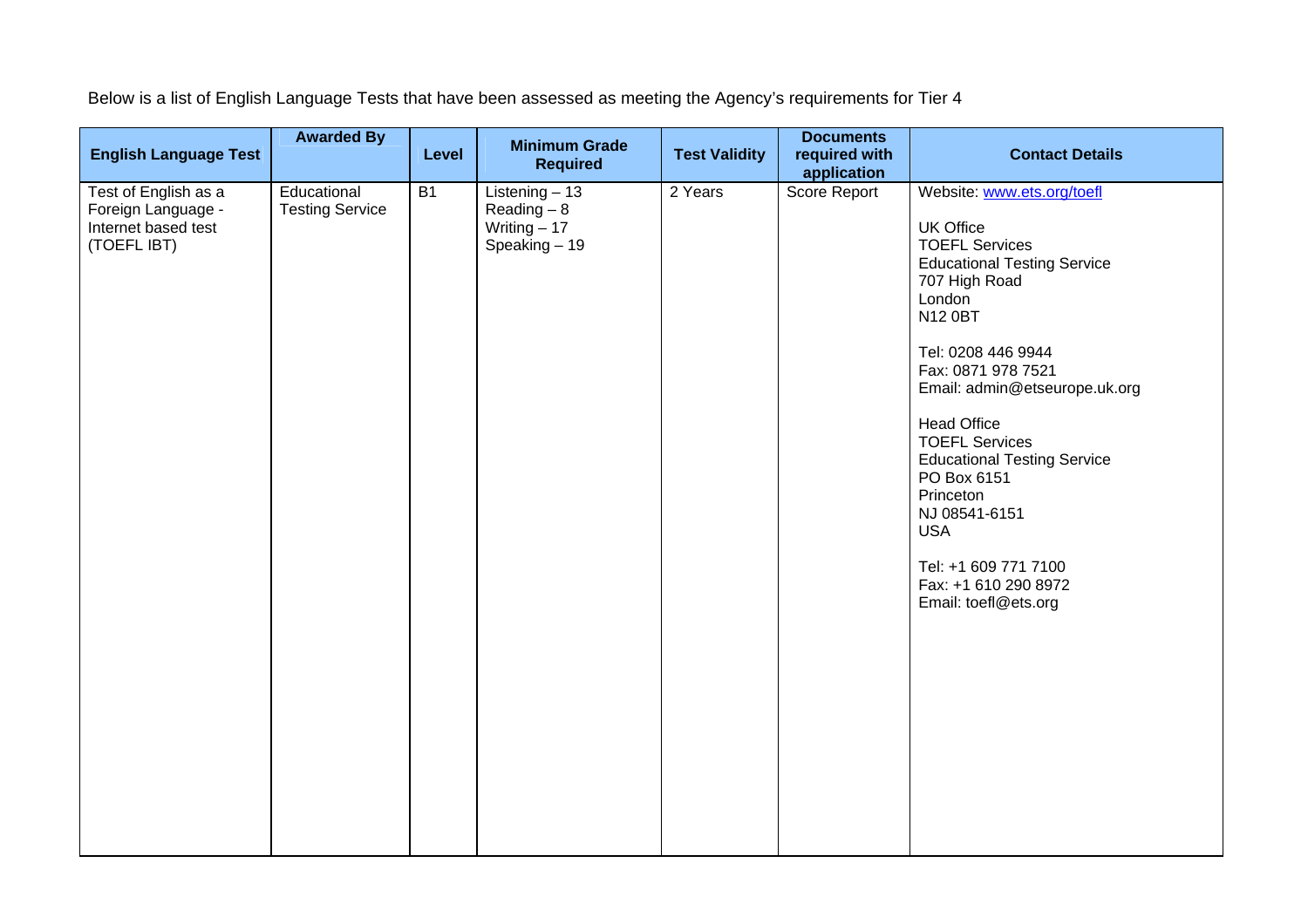Below is a list of English Language Tests that have been assessed as meeting the Agency's requirements for Tier 4

| <b>English Language Test</b>                                                     | <b>Awarded By</b>                     | Level | <b>Minimum Grade</b><br><b>Required</b>                                | <b>Test Validity</b> | <b>Documents</b><br>required with<br>application | <b>Contact Details</b>                                                                                                                                                                                                                                                                                                                                                                                                                                          |
|----------------------------------------------------------------------------------|---------------------------------------|-------|------------------------------------------------------------------------|----------------------|--------------------------------------------------|-----------------------------------------------------------------------------------------------------------------------------------------------------------------------------------------------------------------------------------------------------------------------------------------------------------------------------------------------------------------------------------------------------------------------------------------------------------------|
| Test of English as a<br>Foreign Language -<br>Internet based test<br>(TOEFL IBT) | Educational<br><b>Testing Service</b> | B1    | Listening $-13$<br>$Reading - 8$<br>Writing $-17$<br>$S$ peaking $-19$ | 2 Years              | Score Report                                     | Website: www.ets.org/toefl<br><b>UK Office</b><br><b>TOEFL Services</b><br><b>Educational Testing Service</b><br>707 High Road<br>London<br><b>N12 0BT</b><br>Tel: 0208 446 9944<br>Fax: 0871 978 7521<br>Email: admin@etseurope.uk.org<br><b>Head Office</b><br><b>TOEFL Services</b><br><b>Educational Testing Service</b><br>PO Box 6151<br>Princeton<br>NJ 08541-6151<br><b>USA</b><br>Tel: +1 609 771 7100<br>Fax: +1 610 290 8972<br>Email: toefl@ets.org |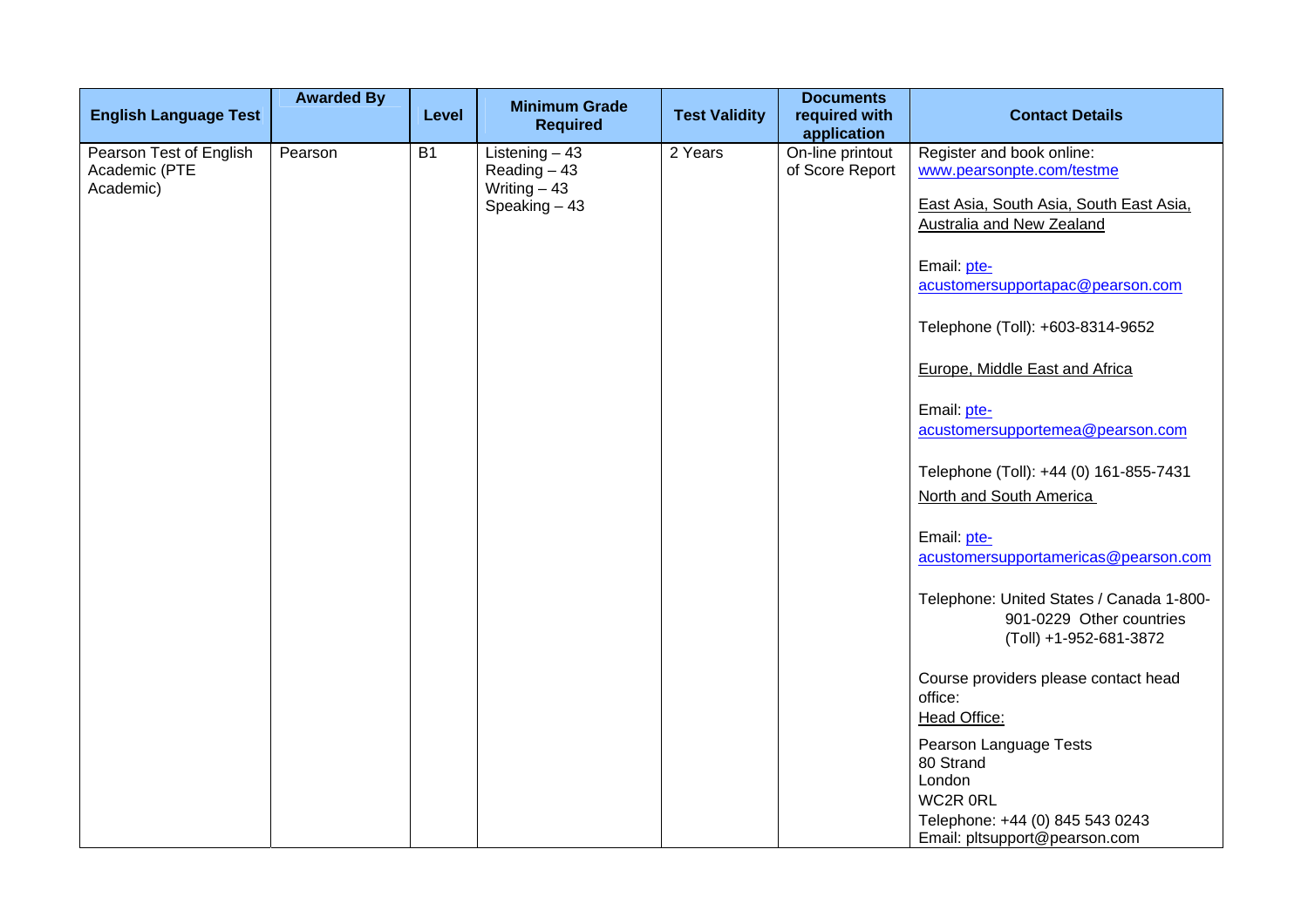| <b>English Language Test</b>                          | <b>Awarded By</b> | Level     | <b>Minimum Grade</b><br><b>Required</b>                             | <b>Test Validity</b> | <b>Documents</b><br>required with<br>application | <b>Contact Details</b>                                                                            |
|-------------------------------------------------------|-------------------|-----------|---------------------------------------------------------------------|----------------------|--------------------------------------------------|---------------------------------------------------------------------------------------------------|
| Pearson Test of English<br>Academic (PTE<br>Academic) | Pearson           | <b>B1</b> | Listening $-43$<br>Reading $-43$<br>Writing $-43$<br>Speaking $-43$ | 2 Years              | On-line printout<br>of Score Report              | Register and book online:<br>www.pearsonpte.com/testme<br>East Asia, South Asia, South East Asia. |
|                                                       |                   |           |                                                                     |                      |                                                  | Australia and New Zealand<br>Email: pte-                                                          |
|                                                       |                   |           |                                                                     |                      |                                                  | acustomersupportapac@pearson.com<br>Telephone (Toll): +603-8314-9652                              |
|                                                       |                   |           |                                                                     |                      |                                                  | Europe, Middle East and Africa                                                                    |
|                                                       |                   |           |                                                                     |                      |                                                  | Email: pte-<br>acustomersupportemea@pearson.com                                                   |
|                                                       |                   |           |                                                                     |                      |                                                  | Telephone (Toll): +44 (0) 161-855-7431<br>North and South America                                 |
|                                                       |                   |           |                                                                     |                      |                                                  | Email: pte-<br>acustomersupportamericas@pearson.com                                               |
|                                                       |                   |           |                                                                     |                      |                                                  | Telephone: United States / Canada 1-800-<br>901-0229 Other countries<br>(Toll) +1-952-681-3872    |
|                                                       |                   |           |                                                                     |                      |                                                  | Course providers please contact head<br>office:<br>Head Office:                                   |
|                                                       |                   |           |                                                                     |                      |                                                  | Pearson Language Tests<br>80 Strand<br>London                                                     |
|                                                       |                   |           |                                                                     |                      |                                                  | WC2R 0RL<br>Telephone: +44 (0) 845 543 0243<br>Email: pltsupport@pearson.com                      |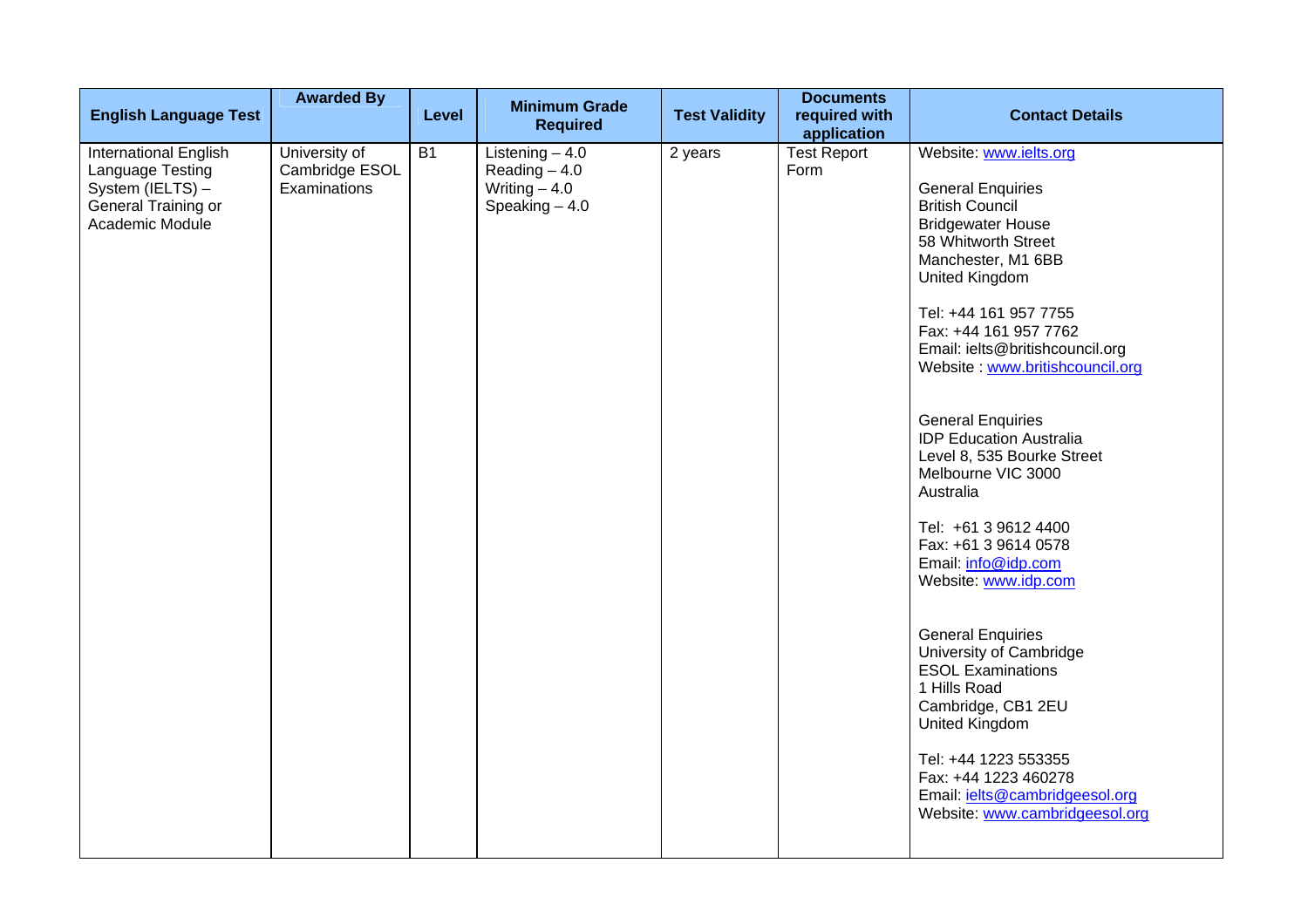| <b>English Language Test</b>                                                                            | <b>Awarded By</b>                               | Level     | <b>Minimum Grade</b><br><b>Required</b>                                 | <b>Test Validity</b> | <b>Documents</b><br>required with<br>application | <b>Contact Details</b>                                                                                                                                                                                                                                                                                                                                                                                                                                                                                                                                                                                                                                                                                                                                                                              |
|---------------------------------------------------------------------------------------------------------|-------------------------------------------------|-----------|-------------------------------------------------------------------------|----------------------|--------------------------------------------------|-----------------------------------------------------------------------------------------------------------------------------------------------------------------------------------------------------------------------------------------------------------------------------------------------------------------------------------------------------------------------------------------------------------------------------------------------------------------------------------------------------------------------------------------------------------------------------------------------------------------------------------------------------------------------------------------------------------------------------------------------------------------------------------------------------|
| International English<br>Language Testing<br>System (IELTS) -<br>General Training or<br>Academic Module | University of<br>Cambridge ESOL<br>Examinations | <b>B1</b> | Listening $-4.0$<br>Reading $-4.0$<br>Writing $-4.0$<br>Speaking $-4.0$ | 2 years              | <b>Test Report</b><br>Form                       | Website: www.ielts.org<br><b>General Enquiries</b><br><b>British Council</b><br><b>Bridgewater House</b><br>58 Whitworth Street<br>Manchester, M1 6BB<br>United Kingdom<br>Tel: +44 161 957 7755<br>Fax: +44 161 957 7762<br>Email: ielts@britishcouncil.org<br>Website: www.britishcouncil.org<br><b>General Enquiries</b><br><b>IDP Education Australia</b><br>Level 8, 535 Bourke Street<br>Melbourne VIC 3000<br>Australia<br>Tel: +61 3 9612 4400<br>Fax: +61 3 9614 0578<br>Email: info@idp.com<br>Website: www.idp.com<br><b>General Enquiries</b><br>University of Cambridge<br><b>ESOL Examinations</b><br>1 Hills Road<br>Cambridge, CB1 2EU<br>United Kingdom<br>Tel: +44 1223 553355<br>Fax: +44 1223 460278<br>Email: <i>ielts@cambridgeesol.org</i><br>Website: www.cambridgeesol.org |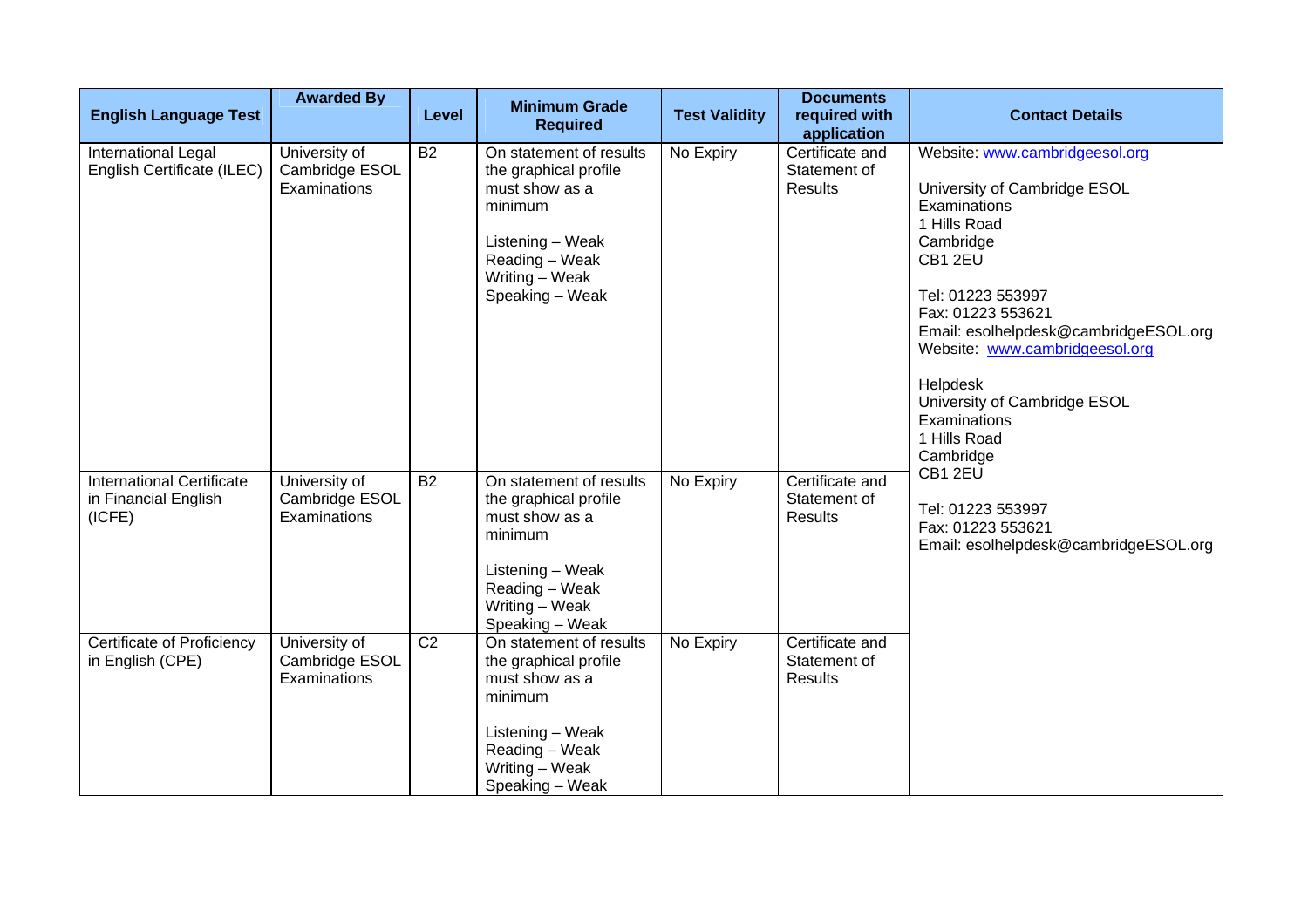| <b>English Language Test</b>                                       | <b>Awarded By</b>                               | Level          | <b>Minimum Grade</b><br><b>Required</b>                                                                                                                  | <b>Test Validity</b> | <b>Documents</b><br>required with<br>application  | <b>Contact Details</b>                                                                                                                                                                                                                                                                                                               |
|--------------------------------------------------------------------|-------------------------------------------------|----------------|----------------------------------------------------------------------------------------------------------------------------------------------------------|----------------------|---------------------------------------------------|--------------------------------------------------------------------------------------------------------------------------------------------------------------------------------------------------------------------------------------------------------------------------------------------------------------------------------------|
| International Legal<br>English Certificate (ILEC)                  | University of<br>Cambridge ESOL<br>Examinations | <b>B2</b>      | On statement of results<br>the graphical profile<br>must show as a<br>minimum<br>Listening - Weak<br>Reading - Weak<br>Writing - Weak<br>Speaking - Weak | No Expiry            | Certificate and<br>Statement of<br><b>Results</b> | Website: www.cambridgeesol.org<br>University of Cambridge ESOL<br>Examinations<br>1 Hills Road<br>Cambridge<br>CB1 2EU<br>Tel: 01223 553997<br>Fax: 01223 553621<br>Email: esolhelpdesk@cambridgeESOL.org<br>Website: www.cambridgeesol.org<br>Helpdesk<br>University of Cambridge ESOL<br>Examinations<br>1 Hills Road<br>Cambridge |
| <b>International Certificate</b><br>in Financial English<br>(ICFE) | University of<br>Cambridge ESOL<br>Examinations | <b>B2</b>      | On statement of results<br>the graphical profile<br>must show as a<br>minimum<br>Listening - Weak<br>Reading - Weak<br>Writing - Weak<br>Speaking - Weak | No Expiry            | Certificate and<br>Statement of<br><b>Results</b> | CB1 2EU<br>Tel: 01223 553997<br>Fax: 01223 553621<br>Email: esolhelpdesk@cambridgeESOL.org                                                                                                                                                                                                                                           |
| <b>Certificate of Proficiency</b><br>in English (CPE)              | University of<br>Cambridge ESOL<br>Examinations | C <sub>2</sub> | On statement of results<br>the graphical profile<br>must show as a<br>minimum<br>Listening - Weak<br>Reading - Weak<br>Writing - Weak<br>Speaking - Weak | No Expiry            | Certificate and<br>Statement of<br><b>Results</b> |                                                                                                                                                                                                                                                                                                                                      |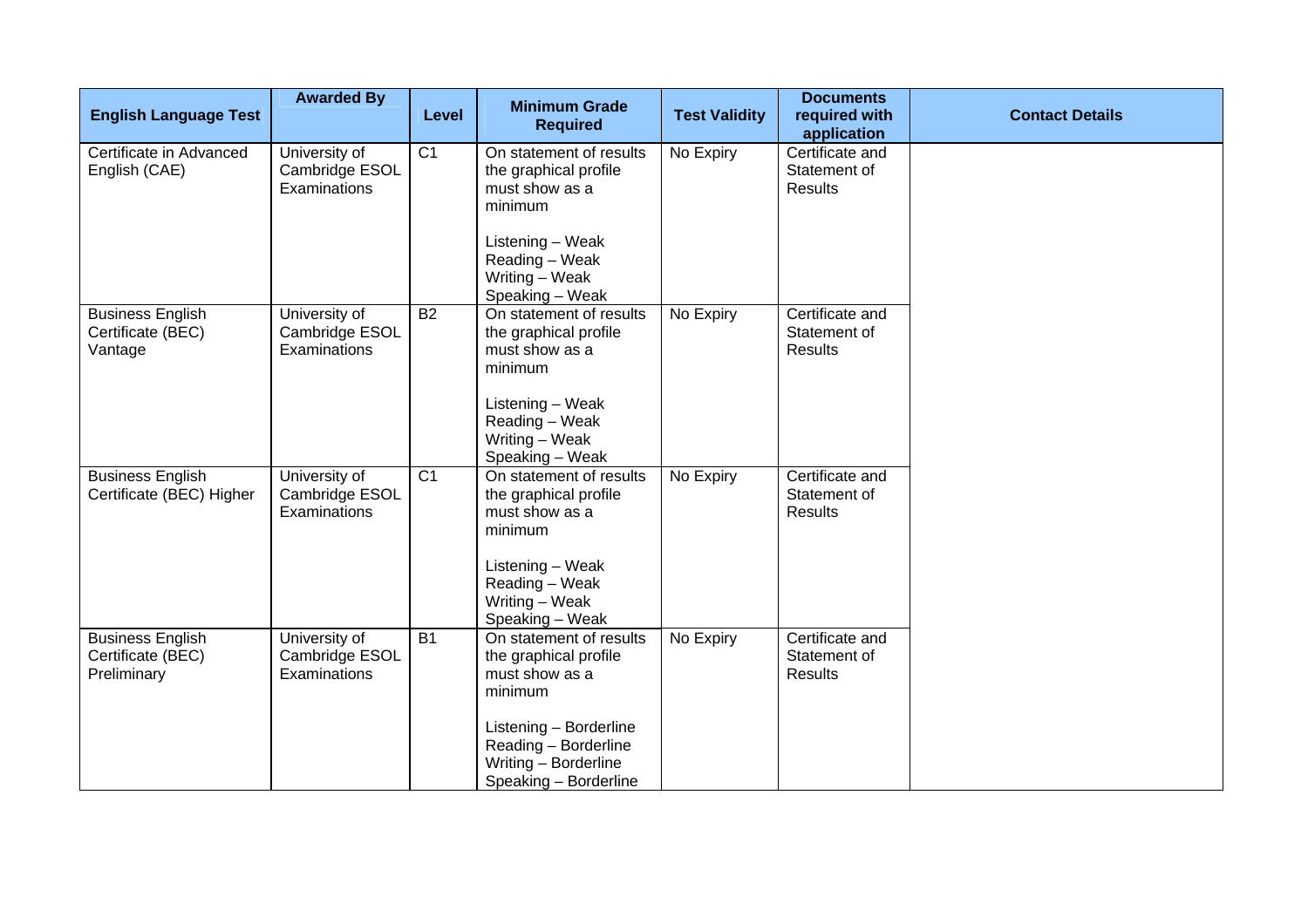| <b>English Language Test</b>                                | <b>Awarded By</b>                               | Level           | <b>Minimum Grade</b><br><b>Required</b>                                                                                                                                          | <b>Test Validity</b> | <b>Documents</b><br>required with                         | <b>Contact Details</b> |
|-------------------------------------------------------------|-------------------------------------------------|-----------------|----------------------------------------------------------------------------------------------------------------------------------------------------------------------------------|----------------------|-----------------------------------------------------------|------------------------|
| Certificate in Advanced<br>English (CAE)                    | University of<br>Cambridge ESOL<br>Examinations | C <sub>1</sub>  | On statement of results<br>the graphical profile<br>must show as a<br>minimum<br>Listening - Weak<br>Reading - Weak<br>Writing – Weak<br>Speaking - Weak                         | No Expiry            | application<br>Certificate and<br>Statement of<br>Results |                        |
| <b>Business English</b><br>Certificate (BEC)<br>Vantage     | University of<br>Cambridge ESOL<br>Examinations | $\overline{B2}$ | On statement of results<br>the graphical profile<br>must show as a<br>minimum<br>Listening - Weak<br>Reading - Weak<br>Writing - Weak<br>Speaking - Weak                         | No Expiry            | Certificate and<br>Statement of<br><b>Results</b>         |                        |
| <b>Business English</b><br>Certificate (BEC) Higher         | University of<br>Cambridge ESOL<br>Examinations | $\overline{C1}$ | On statement of results<br>the graphical profile<br>must show as a<br>minimum<br>Listening - Weak<br>Reading - Weak<br>Writing - Weak<br>Speaking - Weak                         | No Expiry            | Certificate and<br>Statement of<br><b>Results</b>         |                        |
| <b>Business English</b><br>Certificate (BEC)<br>Preliminary | University of<br>Cambridge ESOL<br>Examinations | $\overline{B1}$ | On statement of results<br>the graphical profile<br>must show as a<br>minimum<br>Listening - Borderline<br>Reading - Borderline<br>Writing - Borderline<br>Speaking - Borderline | No Expiry            | Certificate and<br>Statement of<br><b>Results</b>         |                        |